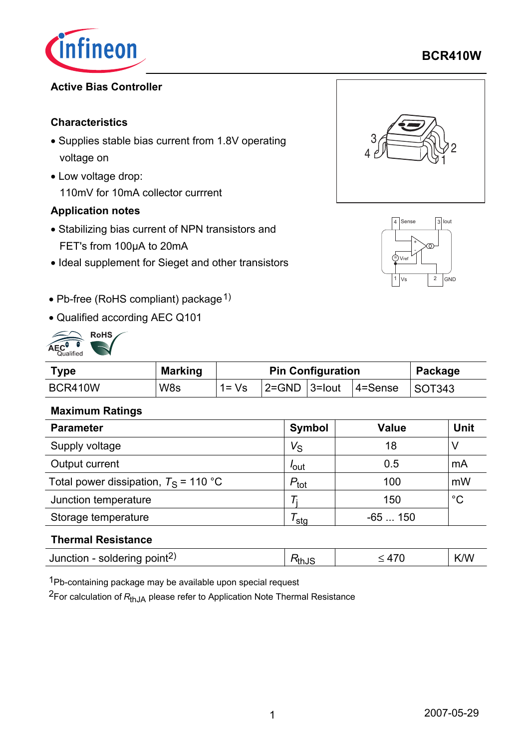

# **BCR410W**

## **Active Bias Controller**

#### **Characteristics**

- Supplies stable bias current from 1.8V operating voltage on
- Low voltage drop: 110mV for 10mA collector currrent

### **Application notes**

- Stabilizing bias current of NPN transistors and FET's from 100µA to 20mA
- Ideal supplement for Sieget and other transistors





- Pb-free (RoHS compliant) package<sup>1)</sup>
- Qualified according AEC Q101



| Type    | <b>Marking</b> | <b>Pin Configuration</b> |  |  |                                             | Package |
|---------|----------------|--------------------------|--|--|---------------------------------------------|---------|
| BCR410W | W <sub>8</sub> | $1 = \sqrt{s}$           |  |  | $ 2=$ GND $ 3=$ lout $ 4=$ Sense $ $ SOT343 |         |

#### **Maximum Ratings**

| <b>Parameter</b>                        | Symbol           | <b>Value</b> | <b>Unit</b> |
|-----------------------------------------|------------------|--------------|-------------|
| Supply voltage                          | $V_{\rm S}$      | 18           |             |
| Output current                          | lout             | 0.5          | mA          |
| Total power dissipation, $T_S$ = 110 °C | $P_{\text{tot}}$ | 100          | mW          |
| Junction temperature                    |                  | 150          | $^{\circ}C$ |
| Storage temperature                     | sta              | $-65150$     |             |

#### **Thermal Resistance**

|  | Junction - soldering point <sup>2)</sup> | ™thJ |  | K/W<br>$\mathbf{v}$ |
|--|------------------------------------------|------|--|---------------------|
|--|------------------------------------------|------|--|---------------------|

1Pb-containing package may be available upon special request

2For calculation of *R*thJA please refer to Application Note Thermal Resistance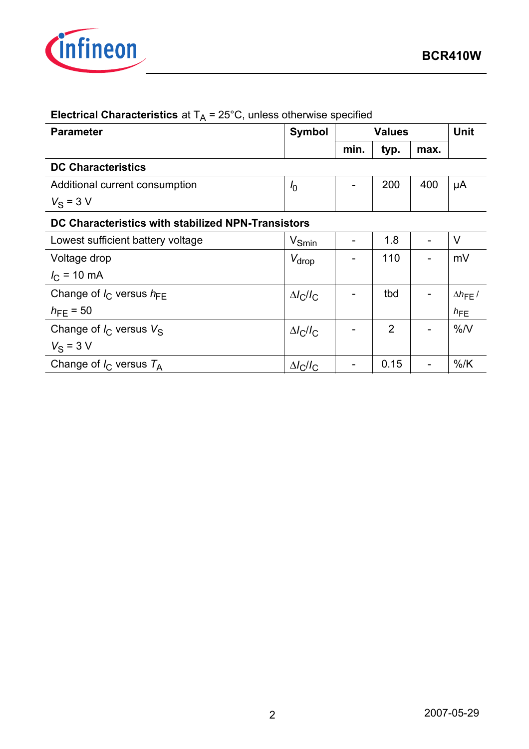

| $\sqrt{ }$<br><b>Parameter</b>                     | <b>Symbol</b>                            | <b>Values</b> |                | Unit |                          |  |
|----------------------------------------------------|------------------------------------------|---------------|----------------|------|--------------------------|--|
|                                                    |                                          | min.          | typ.           | max. |                          |  |
| <b>DC Characteristics</b>                          |                                          |               |                |      |                          |  |
| Additional current consumption                     | I <sub>0</sub>                           |               | 200            | 400  | μA                       |  |
| $V_S = 3 V$                                        |                                          |               |                |      |                          |  |
| DC Characteristics with stabilized NPN-Transistors |                                          |               |                |      |                          |  |
| Lowest sufficient battery voltage                  | $V_{Smin}$                               |               | 1.8            |      | $\vee$                   |  |
| Voltage drop                                       | $V_{\sf drop}$                           |               | 110            |      | mV                       |  |
| $I_{C}$ = 10 mA                                    |                                          |               |                |      |                          |  |
| Change of $I_{\rm C}$ versus $h_{\rm FF}$          | $\Delta l$ <sub>C</sub> $l$ <sub>C</sub> |               | tbd            |      | $\Delta h_{\text{FE}}$ / |  |
| $h_{\text{FE}} = 50$                               |                                          |               |                |      | $h_{\text{FE}}$          |  |
| Change of $I_C$ versus $V_S$                       | $\Delta l_C/l_C$                         |               | $\overline{2}$ |      | %N                       |  |
| $V_S = 3 V$                                        |                                          |               |                |      |                          |  |
| Change of $I_C$ versus $T_A$                       | $\Delta l_C/l_C$                         |               | 0.15           |      | $%$ /K                   |  |

# **Electrical Characteristics** at  $T_A = 25^\circ C$ , unless otherwise specified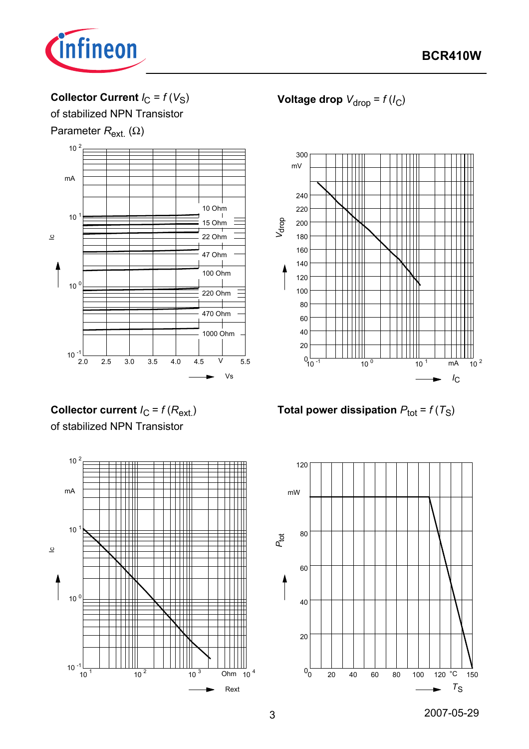

# Collector Current  $I_C = f(V_S)$

of stabilized NPN Transistor

Parameter *R*<sub>ext</sub> (Ω)



**Voltage drop**  $V_{drop} = f(l_C)$ 



**Total power dissipation**  $P_{\text{tot}} = f(T_S)$ 

**Collector current**  $I_C = f(R_{ext.})$ of stabilized NPN Transistor

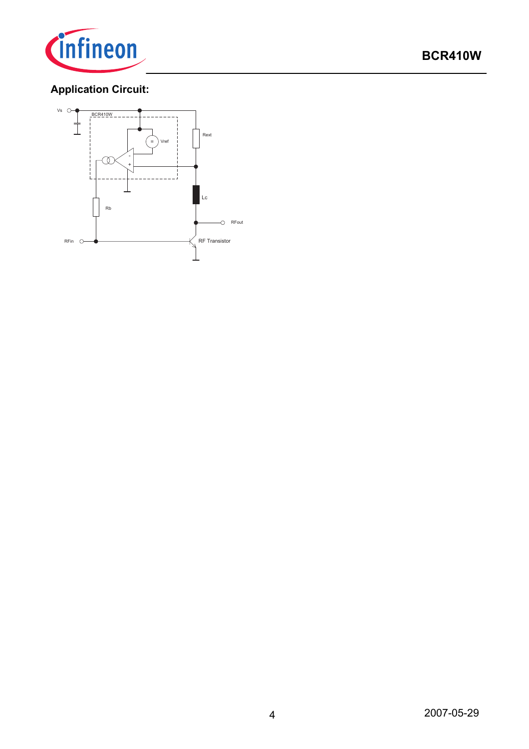

# **Application Circuit:**

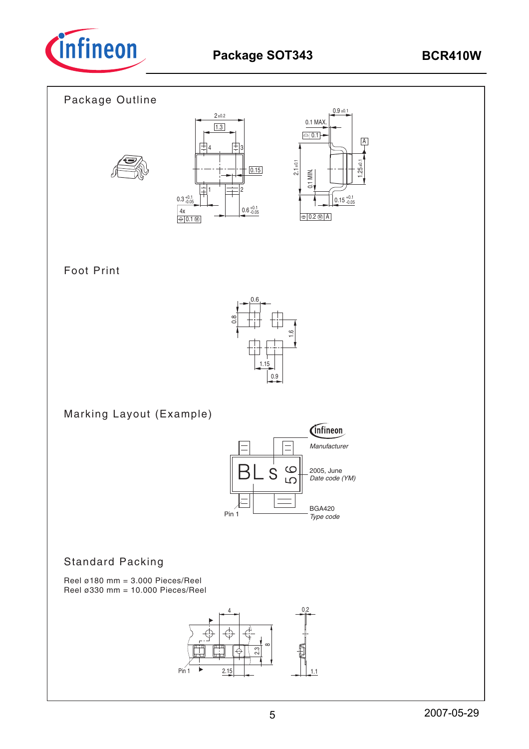



# Foot Print



Marking Layout (Example)



## Standard Packing

Reel ø180 mm =  $3.000$  Pieces/Reel Reel ø330 mm = 10.000 Pieces/Reel